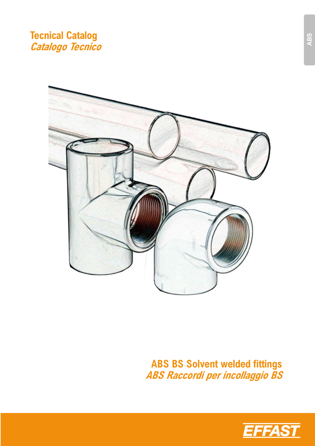# **Tecnical Catalog Catalogo Tecnico**



**ABS BS Solvent welded fittings ABS Raccordi per incollaggio BS** 

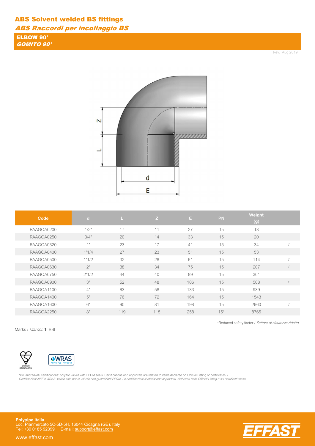ABS Raccordi per incollaggio BS

ELBOW 90° GOMITO 90°

Rev. Aug 2019



| Code       | $\mathbf d$ |     | Z   | E.  | <b>PN</b> | Weight<br>(g) |  |
|------------|-------------|-----|-----|-----|-----------|---------------|--|
| RAAGOA0200 | 1/2"        | 17  | 11  | 27  | 15        | 13            |  |
| RAAGOA0250 | 3/4"        | 20  | 14  | 33  | 15        | 20            |  |
| RAAGOA0320 | $4$ II      | 23  | 17  | 41  | 15        | 34            |  |
| RAAGOA0400 | 1"1/4       | 27  | 23  | 51  | 15        | 53            |  |
| RAAGOA0500 | 1"1/2       | 32  | 28  | 61  | 15        | 114           |  |
| RAAGOA0630 | 2"          | 38  | 34  | 75  | 15        | 207           |  |
| RAAGOA0750 | 2"1/2       | 44  | 40  | 89  | 15        | 301           |  |
| RAAGOA0900 | 3"          | 52  | 48  | 106 | 15        | 508           |  |
| RAAGOA1100 | 4"          | 63  | 58  | 133 | 15        | 939           |  |
| RAAGOA1400 | 5"          | 76  | 72  | 164 | 15        | 1543          |  |
| RAAGOA1600 | 6"          | 90  | 81  | 198 | 15        | 2960          |  |
| RAAGOA2250 | 8"          | 119 | 115 | 258 | $15*$     | 8765          |  |

Marks / Marchi: 1. BSI

BRIT<br>STAND



NSF and WRAS certifications: only for valves with EPDM seals. Certifications and approvals are related to items declared on Official Listing or certificates. /<br>*Certificazioni NSF e WRAS: valide solo per le valvole con gua* 

**Polypipe Italia** Loc. Pianmercato 5C-5D-5H, 16044 Cicagna (GE), Italy Tel: +39 0185 92399 E-mail: support@effast.com

www.effast.com



\*Reduced safety factor / Fattore di sicurezza ridotto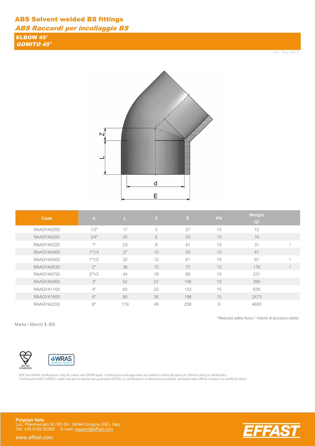ABS Raccordi per incollaggio BS

ELBOW 45° GOMITO 45°

Rev. Aug 2019



| Code       | $\mathbf d$     |     | Z  | E.  | PN | Weight<br>(g) |  |
|------------|-----------------|-----|----|-----|----|---------------|--|
| RAAGYA0200 | 1/2"            | 17  | 5  | 27  | 15 | 12            |  |
| RAAGYA0250 | 3/4"            | 20  | 6  | 33  | 15 | 16            |  |
| RAAGYA0320 | 4 <sub>II</sub> | 23  | 8  | 41  | 15 | 31            |  |
| RAAGYA0400 | 1"1/4           | 27  | 10 | 50  | 15 | 47            |  |
| RAAGYA0500 | 1"1/2           | 32  | 12 | 61  | 15 | 97            |  |
| RAAGYA0630 | 2"              | 38  | 15 | 75  | 15 | 176           |  |
| RAAGYA0750 | 2"1/2           | 44  | 18 | 89  | 15 | 231           |  |
| RAAGYA0900 | 3"              | 52  | 21 | 106 | 15 | 390           |  |
| RAAGYA1100 | 4"              | 63  | 25 | 133 | 15 | 630           |  |
| RAAGYA1600 | 6"              | 90  | 36 | 198 | 15 | 2473          |  |
| RAAGYA2250 | 8"              | 119 | 49 | 258 | 9  | 4600          |  |

Marks / Marchi: 1. BSI

\*Reduced safety factor / Fattore di sicurezza ridotto





NSF and WRAS certifications: only for valves with EPDM seals. Certifications and approvals are related to items declared on Official Listing or certificates. /<br>*Certificazioni NSF e WRAS: valide solo per le valvole con gua* 

**Polypipe Italia** Loc. Pianmercato 5C-5D-5H, 16044 Cicagna (GE), Italy Tel: +39 0185 92399 E-mail: support@effast.com



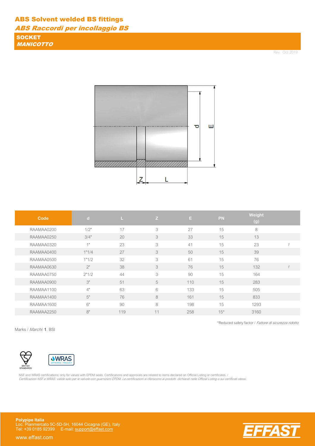ABS Raccordi per incollaggio BS

**SOCKET** MANICOTTO

Rev. Oct 2019



| Code       | $\mathbf d$ | L   | Z  | Ε.  | <b>PN</b> | <b>Weight</b><br>(g) |              |
|------------|-------------|-----|----|-----|-----------|----------------------|--------------|
| RAAMAA0200 | 1/2"        | 17  | 3  | 27  | 15        | 8                    |              |
| RAAMAA0250 | 3/4"        | 20  | 3  | 33  | 15        | 13                   |              |
| RAAMAA0320 | 4H          | 23  | 3  | 41  | 15        | 23                   |              |
| RAAMAA0400 | 1"1/4       | 27  | 3  | 50  | 15        | 39                   |              |
| RAAMAA0500 | 1"1/2       | 32  | 3  | 61  | 15        | 76                   |              |
| RAAMAA0630 | 2"          | 38  | 3  | 76  | 15        | 132                  | $\mathcal I$ |
| RAAMAA0750 | 2"1/2       | 44  | 3  | 90  | 15        | 164                  |              |
| RAAMAA0900 | 3"          | 51  | 5  | 110 | 15        | 283                  |              |
| RAAMAA1100 | 4"          | 63  | 6  | 133 | 15        | 505                  |              |
| RAAMAA1400 | 5"          | 76  | 8  | 161 | 15        | 833                  |              |
| RAAMAA1600 | 6"          | 90  | 8  | 198 | 15        | 1293                 |              |
| RAAMAA2250 | 8"          | 119 | 11 | 258 | $15*$     | 3160                 |              |

Marks / Marchi: 1. BSI

BRIT<br>STAND



NSF and WRAS certifications: only for valves with EPDM seals. Certifications and approvals are related to items declared on Official Listing or certificates. / Certificazioni NSF e WRAS: valide solo per le valvole con guarnizioni EPDM. Le certificazioni si riferiscono ai prodotti dichiarati nelle Official Listing o sui certificati stessi.

**Polypipe Italia** Loc. Pianmercato 5C-5D-5H, 16044 Cicagna (GE), Italy Tel: +39 0185 92399 E-mail: support@effast.com

www.effast.com



\*Reduced safety factor / Fattore di sicurezza ridotto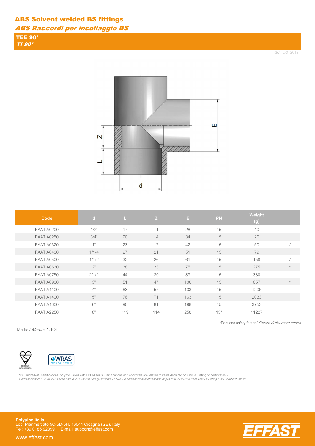ABS Raccordi per incollaggio BS

TEE 90° TI 90°

Rev. Oct 2019



| Code       | $\lceil$ d | ш   | Z   | E.  | <b>PN</b> | Weight<br>(g) |  |
|------------|------------|-----|-----|-----|-----------|---------------|--|
| RAATIA0200 | 1/2"       | 17  | 11  | 28  | 15        | 10            |  |
| RAATIA0250 | 3/4"       | 20  | 14  | 34  | 15        | 20            |  |
| RAATIA0320 | 1"         | 23  | 17  | 42  | 15        | 50            |  |
| RAATIA0400 | 1"1/4      | 27  | 21  | 51  | 15        | 79            |  |
| RAATIA0500 | 1"1/2      | 32  | 26  | 61  | 15        | 158           |  |
| RAATIA0630 | 2"         | 38  | 33  | 75  | 15        | 275           |  |
| RAATIA0750 | 2"1/2      | 44  | 39  | 89  | 15        | 380           |  |
| RAATIA0900 | 3"         | 51  | 47  | 106 | 15        | 657           |  |
| RAATIA1100 | 4"         | 63  | 57  | 133 | 15        | 1206          |  |
| RAATIA1400 | 5"         | 76  | 71  | 163 | 15        | 2033          |  |
| RAATIA1600 | 6"         | 90  | 81  | 198 | 15        | 3753          |  |
| RAATIA2250 | 8"         | 119 | 114 | 258 | $15*$     | 11227         |  |

Marks / Marchi: 1. BSI

BRITISH<br>STANDARDS



NSF and WRAS certifications: only for valves with EPDM seals. Certifications and approvals are related to items declared on Official Listing or certificates. /<br>*Certificazioni NSF e WRAS: valide solo per le valvole con gua* 

**Polypipe Italia** Loc. Pianmercato 5C-5D-5H, 16044 Cicagna (GE), Italy Tel: +39 0185 92399 E-mail: support@effast.com

www.effast.com



\*Reduced safety factor / Fattore di sicurezza ridotto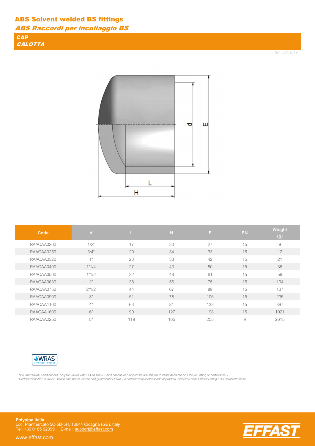ABS Raccordi per incollaggio BS

**CAP CALOTTA** 

Rev. Oct 2019

FA



| Code       | $\mathbf d$     |     | н   | E.  | <b>PN</b> | Weight<br>(g) |
|------------|-----------------|-----|-----|-----|-----------|---------------|
| RAACAA0200 | 1/2"            | 17  | 30  | 27  | 15        | 9             |
| RAACAA0250 | 3/4"            | 20  | 34  | 33  | 15        | 12            |
| RAACAA0320 | 4 <sub>II</sub> | 23  | 38  | 42  | 15        | 21            |
| RAACAA0400 | 1"1/4           | 27  | 43  | 50  | 15        | 36            |
| RAACAA0500 | 1"1/2           | 32  | 48  | 61  | 15        | 59            |
| RAACAA0630 | 2"              | 38  | 56  | 75  | 15        | 104           |
| RAACAA0750 | 2"1/2           | 44  | 67  | 89  | 15        | 137           |
| RAACAA0900 | 3"              | 51  | 78  | 106 | 15        | 235           |
| RAACAA1100 | 4"              | 63  | 81  | 133 | 15        | 397           |
| RAACAA1600 | 6"              | 90  | 127 | 198 | 15        | 1021          |
| RAACAA2250 | 8"              | 119 | 165 | 255 | 9         | 2615          |



NSF and WRAS certifications: only for valves with EPDM seals. Certifications and approvals are related to items declared on Official Listing or certificates. / Certificazioni NSF e WRAS: valide solo per le valvole con guarnizioni EPDM. Le certificazioni si riferiscono ai prodotti dichiarati nelle Official Listing o sui certificati stessi.

**Polypipe Italia** Loc. Pianmercato 5C-5D-5H, 16044 Cicagna (GE), Italy Tel: +39 0185 92399 E-mail: support@effast.com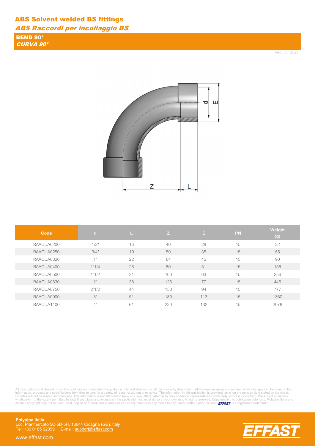ABS Raccordi per incollaggio BS

BEND 90° CURVA 90°

Rev. Jul 2020



| Code       | d     | L  | Z   | E.  | <b>PN</b> | Weight<br>(g) |
|------------|-------|----|-----|-----|-----------|---------------|
| RAACUA0200 | 1/2"  | 16 | 40  | 28  | 15        | 32            |
| RAACUA0250 | 3/4"  | 19 | 50  | 35  | 15        | 55            |
| RAACUA0320 | 1"    | 22 | 64  | 42  | 15        | 90            |
| RAACUA0400 | 1"1/4 | 26 | 80  | 51  | 15        | 156           |
| RAACUA0500 | 1"1/2 | 31 | 100 | 63  | 15        | 256           |
| RAACUA0630 | 2"    | 38 | 126 | 77  | 15        | 445           |
| RAACUA0750 | 2"1/2 | 44 | 150 | 94  | 15        | 777           |
| RAACUA0900 | 3"    | 51 | 180 | 113 | 15        | 1360          |
| RAACUA1100 | 4"    | 61 | 220 | 132 | 15        | 2078          |

All descriptions and illustrations in this publication are intended for guidance only and shall not constitute a 'sale by description'. All dimensions given are nominal, while changes can be done on the information, produc

**74S** 

**Polypipe Italia** Loc. Pianmercato 5C-5D-5H, 16044 Cicagna (GE), Italy Tel: +39 0185 92399 E-mail: support@effast.com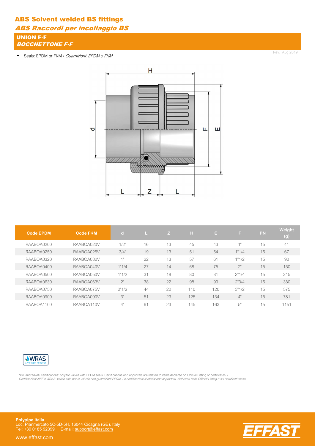ABS Raccordi per incollaggio BS

UNION F-F **BOCCHETTONE F-F** 

• Seals: EPDM or FKM / Guarnizioni: EPDM o FKM

Rev. Aug 2019



| <b>Code EPDM</b> | <b>Code FKM</b> | $\vert \vert$ |    | IZ. | H   | E   | F     | PN | Weight<br>$\overline{g}()$ |
|------------------|-----------------|---------------|----|-----|-----|-----|-------|----|----------------------------|
| RAABOA0200       | RAABOA020V      | 1/2"          | 16 | 13  | 45  | 43  | 4H    | 15 | 41                         |
| RAABOA0250       | RAABOA025V      | 3/4"          | 19 | 13  | 51  | 54  | 1"1/4 | 15 | 67                         |
| RAABOA0320       | RAABOA032V      | 41            | 22 | 13  | 57  | 61  | 1"1/2 | 15 | 90                         |
| RAABOA0400       | RAABOA040V      | 1"1/4         | 27 | 14  | 68  | 75  | 2"    | 15 | 150                        |
| RAABOA0500       | RAABOA050V      | 1"1/2         | 31 | 18  | 80  | 81  | 2"1/4 | 15 | 215                        |
| RAABOA0630       | RAABOA063V      | $2^{\circ}$   | 38 | 22  | 98  | 99  | 2"3/4 | 15 | 380                        |
| RAABOA0750       | RAABOA075V      | 2"1/2         | 44 | 22  | 110 | 120 | 3"1/2 | 15 | 575                        |
| RAABOA0900       | RAABOA090V      | 3"            | 51 | 23  | 125 | 134 | 4"    | 15 | 781                        |
| RAABOA1100       | RAABOA110V      | 4"            | 61 | 23  | 145 | 163 | 5"    | 15 | 1151                       |



NSF and WRAS certifications: only for valves with EPDM seals. Certifications and approvals are related to items declared on Official Listing or certificates. / Certificazioni NSF e WRAS: valide solo per le valvole con guarnizioni EPDM. Le certificazioni si riferiscono ai prodotti dichiarati nelle Official Listing o sui certificati stessi.

**Polypipe Italia** Loc. Pianmercato 5C-5D-5H, 16044 Cicagna (GE), Italy Tel: +39 0185 92399 E-mail: support@effast.com

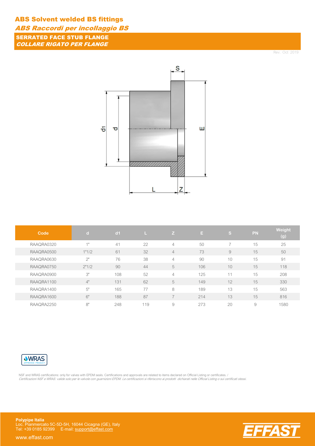ABS Raccordi per incollaggio BS

SERRATED FACE STUB FLANGE COLLARE RIGATO PER FLANGE

Rev. Oct 2019



| Code       | $\mathbf{d}$ | d <sub>1</sub> |     | Z.             | E.  | Is,            | PN | Weight<br>(g) |
|------------|--------------|----------------|-----|----------------|-----|----------------|----|---------------|
| RAAQRA0320 | 1"           | 41             | 22  | $\overline{4}$ | 50  | $\overline{7}$ | 15 | 25            |
| RAAQRA0500 | 1"1/2        | 61             | 32  | $\overline{4}$ | 73  | 9              | 15 | 50            |
| RAAQRA0630 | 2"           | 76             | 38  | $\overline{4}$ | 90  | 10             | 15 | 91            |
| RAAQRA0750 | 2"1/2        | 90             | 44  | 5              | 106 | 10             | 15 | 118           |
| RAAQRA0900 | 3"           | 108            | 52  | $\overline{4}$ | 125 | 11             | 15 | 208           |
| RAAQRA1100 | 4"           | 131            | 62  | 5              | 149 | 12             | 15 | 330           |
| RAAQRA1400 | 5"           | 165            | 77  | 8              | 189 | 13             | 15 | 563           |
| RAAQRA1600 | 6"           | 188            | 87  | ⇁              | 214 | 13             | 15 | 816           |
| RAAQRA2250 | 8"           | 248            | 119 | 9              | 273 | 20             | 9  | 1580          |



NSF and WRAS certifications: only for valves with EPDM seals. Certifications and approvals are related to items declared on Official Listing or certificates. / Certificazioni NSF e WRAS: valide solo per le valvole con guarnizioni EPDM. Le certificazioni si riferiscono ai prodotti dichiarati nelle Official Listing o sui certificati stessi.

**Polypipe Italia** Loc. Pianmercato 5C-5D-5H, 16044 Cicagna (GE), Italy Tel: +39 0185 92399 E-mail: support@effast.com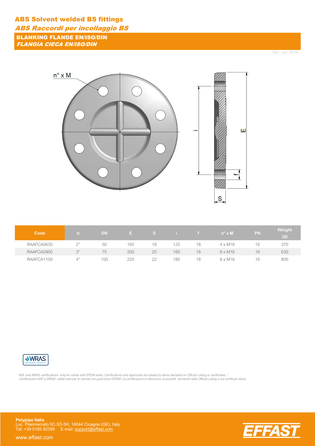# ABS Solvent welded BS fittings ABS Raccordi per incollaggio BS

BLANKING FLANGE EN/ISO/DIN FLANGIA CIECA EN/ISO/DIN

Rev. Jun 2019



| Code       |           | DN  |     |    |     |    | $n^{\circ} \times M$ | <b>PN</b> | Weight<br>(g) |
|------------|-----------|-----|-----|----|-----|----|----------------------|-----------|---------------|
| RAAFCA0630 | $\bigcap$ | 50  | 165 | 18 | 125 | 18 | $4 \times M16$       | 16        | 370           |
| RAAFCA0900 | 2"        | 75  | 200 | 20 | 160 | 18 | $8 \times M16$       | 16        | 630           |
| RAAFCA1100 |           | 100 | 220 | 22 | 180 | 18 | $8 \times M16$       | 16        | 800           |



NSF and WRAS certifications: only for valves with EPDM seals. Certifications and approvals are related to items declared on Official Listing or certificates. / Certificazioni NSF e WRAS: valide solo per le valvole con guarnizioni EPDM. Le certificazioni si riferiscono ai prodotti dichiarati nelle Official Listing o sui certificati stessi.

**Polypipe Italia** Loc. Pianmercato 5C-5D-5H, 16044 Cicagna (GE), Italy Tel: +39 0185 92399 E-mail: support@effast.com

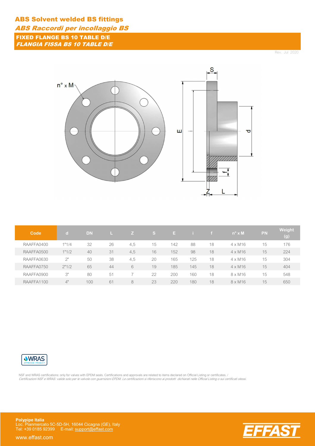ABS Raccordi per incollaggio BS

FIXED FLANGE BS 10 TABLE D/E FLANGIA FISSA BS 10 TABLE D/E

Rev. Jul 2020



| Code       | C.    | <b>DN</b> |    |     | <sub>S</sub> | E.  |     |    | $n^{\circ} \times M$ | <b>PN</b> | Weight<br>(g) |
|------------|-------|-----------|----|-----|--------------|-----|-----|----|----------------------|-----------|---------------|
| RAAFFA0400 | 1"1/4 | 32        | 26 | 4,5 | 15           | 142 | 88  | 18 | $4 \times M16$       | 15        | 176           |
| RAAFFA0500 | 1"1/2 | 40        | 31 | 4,5 | 16           | 152 | 98  | 18 | $4 \times M16$       | 15        | 224           |
| RAAFFA0630 | 2"    | 50        | 38 | 4,5 | 20           | 165 | 125 | 18 | $4 \times M16$       | 15        | 304           |
| RAAFFA0750 | 2"1/2 | 65        | 44 | 6   | 19           | 185 | 145 | 18 | $4 \times M16$       | 15        | 404           |
| RAAFFA0900 | 3"    | 80        | 51 |     | 22           | 200 | 160 | 18 | $8 \times M16$       | 15        | 548           |
| RAAFFA1100 | 4"    | 100       | 61 | 8   | 23           | 220 | 180 | 18 | $8 \times M16$       | 15        | 650           |



NSF and WRAS certifications: only for valves with EPDM seals. Certifications and approvals are related to items declared on Official Listing or certificates. / Certificazioni NSF e WRAS: valide solo per le valvole con guarnizioni EPDM. Le certificazioni si riferiscono ai prodotti dichiarati nelle Official Listing o sui certificati stessi.

**Polypipe Italia** Loc. Pianmercato 5C-5D-5H, 16044 Cicagna (GE), Italy Tel: +39 0185 92399 E-mail: support@effast.com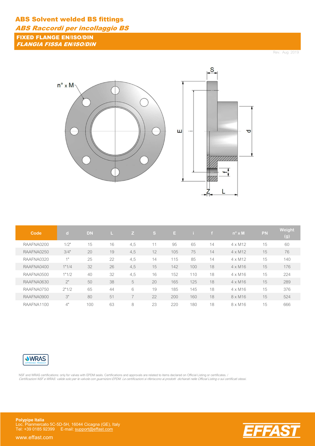ABS Raccordi per incollaggio BS

FIXED FLANGE EN/ISO/DIN FLANGIA FISSA EN/ISO/DIN

Rev. Aug 2019



| Code       | $\mathbf d$ | <b>DN</b> |    | Z   | IS.            | E.  |     |    | $n^{\circ} \times M$ | <b>PN</b> | Weight<br>(g) |
|------------|-------------|-----------|----|-----|----------------|-----|-----|----|----------------------|-----------|---------------|
| RAAFNA0200 | 1/2"        | 15        | 16 | 4,5 | $\blacksquare$ | 95  | 65  | 14 | $4 \times M12$       | 15        | 60            |
| RAAFNA0250 | 3/4"        | 20        | 19 | 4,5 | 12             | 105 | 75  | 14 | $4 \times M12$       | 15        | 76            |
| RAAFNA0320 | 1"          | 25        | 22 | 4,5 | 14             | 115 | 85  | 14 | $4 \times M12$       | 15        | 140           |
| RAAFNA0400 | 1"1/4       | 32        | 26 | 4,5 | 15             | 142 | 100 | 18 | $4 \times M16$       | 15        | 176           |
| RAAFNA0500 | 1"1/2       | 40        | 32 | 4,5 | 16             | 152 | 110 | 18 | $4 \times M16$       | 15        | 224           |
| RAAFNA0630 | 2"          | 50        | 38 | 5   | 20             | 165 | 125 | 18 | $4 \times M16$       | 15        | 289           |
| RAAFNA0750 | 2"1/2       | 65        | 44 | 6   | 19             | 185 | 145 | 18 | $4 \times M16$       | 15        | 376           |
| RAAFNA0900 | 3"          | 80        | 51 | ⇁   | 22             | 200 | 160 | 18 | $8 \times M16$       | 15        | 524           |
| RAAFNA1100 | 4"          | 100       | 63 | 8   | 23             | 220 | 180 | 18 | $8 \times M16$       | 15        | 666           |



NSF and WRAS certifications: only for valves with EPDM seals. Certifications and approvals are related to items declared on Official Listing or certificates. / Certificazioni NSF e WRAS: valide solo per le valvole con guarnizioni EPDM. Le certificazioni si riferiscono ai prodotti dichiarati nelle Official Listing o sui certificati stessi.

**Polypipe Italia** Loc. Pianmercato 5C-5D-5H, 16044 Cicagna (GE), Italy Tel: +39 0185 92399 E-mail: support@effast.com

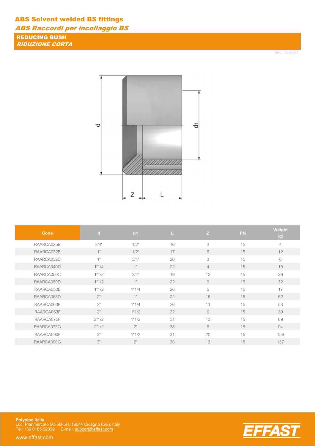ABS Raccordi per incollaggio BS

REDUCING BUSH RIDUZIONE CORTA

Rev. Jul 2020



| Code       | $\mathbf d$ | d <sub>1</sub> | ш  | Z              | PN | Weight<br>(g) |
|------------|-------------|----------------|----|----------------|----|---------------|
| RAARCA025B | 3/4"        | 1/2"           | 16 | 3              | 15 | 4             |
| RAARCA032B | 1"          | 1/2"           | 17 | 6              | 15 | 12            |
| RAARCA032C | 41          | 3/4"           | 20 | 3              | 15 | 6             |
| RAARCA040D | 1"1/4       | 1"             | 22 | $\overline{4}$ | 15 | 15            |
| RAARCA050C | 1"1/2       | 3/4"           | 19 | 12             | 15 | 29            |
| RAARCA050D | 1"1/2       | 1"             | 22 | 9              | 15 | 32            |
| RAARCA050E | 1"1/2       | 1"1/4          | 26 | 5              | 15 | 17            |
| RAARCA063D | 2"          | 1"             | 22 | 16             | 15 | 52            |
| RAARCA063E | 2"          | 1"1/4          | 26 | 11             | 15 | 53            |
| RAARCA063F | 2"          | 1"1/2          | 32 | 6              | 15 | 39            |
| RAARCA075F | 2"1/2       | 1"1/2          | 31 | 13             | 15 | 89            |
| RAARCA075G | 2"1/2       | 2"             | 38 | 6              | 15 | 94            |
| RAARCA090F | 3"          | 1"1/2          | 31 | 20             | 15 | 159           |
| RAARCA090G | 3"          | 2"             | 38 | 13             | 15 | 137           |



**Polypipe Italia** Loc. Pianmercato 5C-5D-5H, 16044 Cicagna (GE), Italy Tel: +39 0185 92399 E-mail: support@effast.com